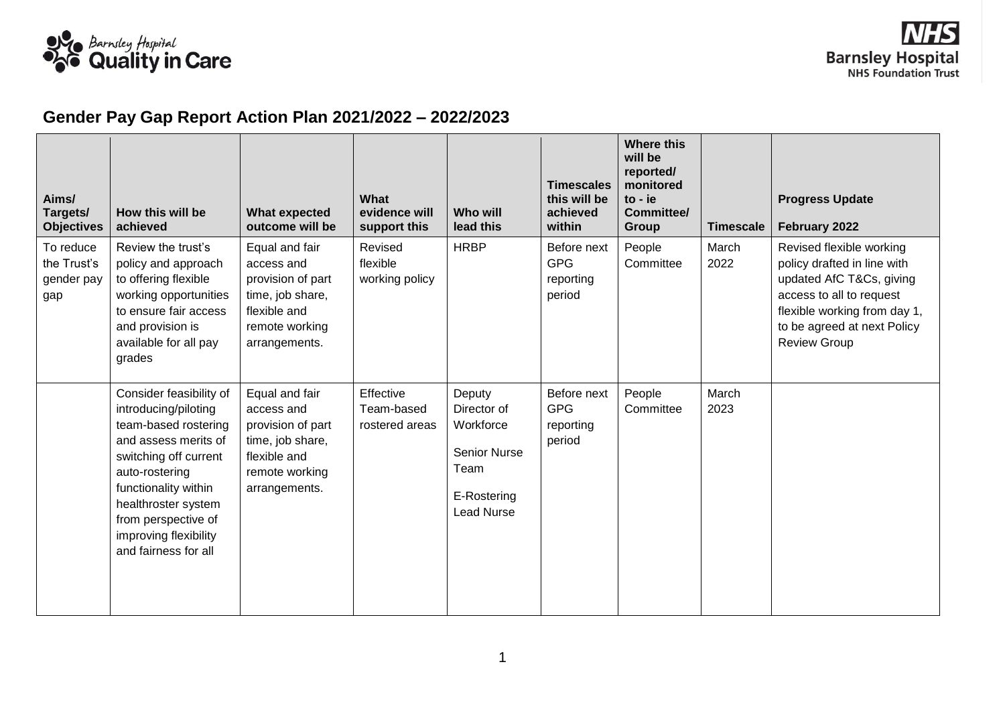

## **Gender Pay Gap Report Action Plan 2021/2022 – 2022/2023**

| Aims/<br>Targets/<br><b>Objectives</b>        | How this will be<br>achieved                                                                                                                                                                                                                                      | <b>What expected</b><br>outcome will be                                                                                  | What<br>evidence will<br>support this     | Who will<br>lead this                                                                                 | <b>Timescales</b><br>this will be<br>achieved<br>within | <b>Where this</b><br>will be<br>reported/<br>monitored<br>to - ie<br>Committee/<br>Group | <b>Timescale</b> | <b>Progress Update</b><br>February 2022                                                                                                                                                               |
|-----------------------------------------------|-------------------------------------------------------------------------------------------------------------------------------------------------------------------------------------------------------------------------------------------------------------------|--------------------------------------------------------------------------------------------------------------------------|-------------------------------------------|-------------------------------------------------------------------------------------------------------|---------------------------------------------------------|------------------------------------------------------------------------------------------|------------------|-------------------------------------------------------------------------------------------------------------------------------------------------------------------------------------------------------|
| To reduce<br>the Trust's<br>gender pay<br>gap | Review the trust's<br>policy and approach<br>to offering flexible<br>working opportunities<br>to ensure fair access<br>and provision is<br>available for all pay<br>grades                                                                                        | Equal and fair<br>access and<br>provision of part<br>time, job share,<br>flexible and<br>remote working<br>arrangements. | Revised<br>flexible<br>working policy     | <b>HRBP</b>                                                                                           | Before next<br><b>GPG</b><br>reporting<br>period        | People<br>Committee                                                                      | March<br>2022    | Revised flexible working<br>policy drafted in line with<br>updated AfC T&Cs, giving<br>access to all to request<br>flexible working from day 1,<br>to be agreed at next Policy<br><b>Review Group</b> |
|                                               | Consider feasibility of<br>introducing/piloting<br>team-based rostering<br>and assess merits of<br>switching off current<br>auto-rostering<br>functionality within<br>healthroster system<br>from perspective of<br>improving flexibility<br>and fairness for all | Equal and fair<br>access and<br>provision of part<br>time, job share,<br>flexible and<br>remote working<br>arrangements. | Effective<br>Team-based<br>rostered areas | Deputy<br>Director of<br>Workforce<br><b>Senior Nurse</b><br>Team<br>E-Rostering<br><b>Lead Nurse</b> | Before next<br><b>GPG</b><br>reporting<br>period        | People<br>Committee                                                                      | March<br>2023    |                                                                                                                                                                                                       |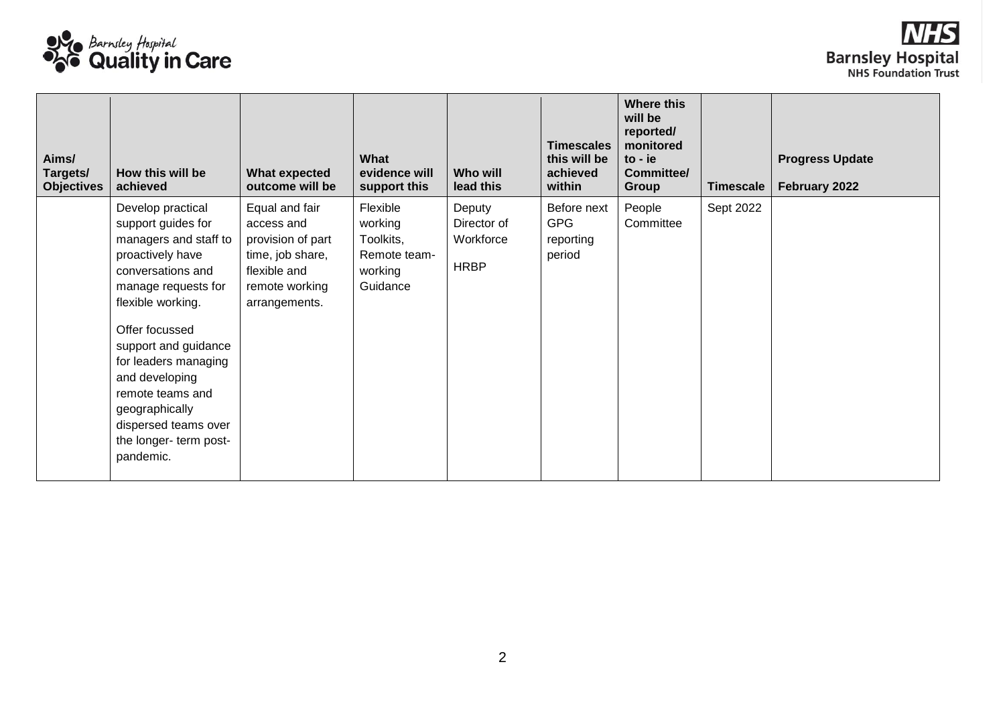

| Aims/<br>Targets/<br><b>Objectives</b> | How this will be<br>achieved                                                                                                                                                                                                                                                                                                                   | <b>What expected</b><br>outcome will be                                                                                  | What<br>evidence will<br>support this                                   | Who will<br>lead this                             | <b>Timescales</b><br>this will be<br>achieved<br>within | <b>Where this</b><br>will be<br>reported/<br>monitored<br>$to -ie$<br>Committee/<br>Group | <b>Timescale</b> | <b>Progress Update</b><br>February 2022 |
|----------------------------------------|------------------------------------------------------------------------------------------------------------------------------------------------------------------------------------------------------------------------------------------------------------------------------------------------------------------------------------------------|--------------------------------------------------------------------------------------------------------------------------|-------------------------------------------------------------------------|---------------------------------------------------|---------------------------------------------------------|-------------------------------------------------------------------------------------------|------------------|-----------------------------------------|
|                                        | Develop practical<br>support guides for<br>managers and staff to<br>proactively have<br>conversations and<br>manage requests for<br>flexible working.<br>Offer focussed<br>support and guidance<br>for leaders managing<br>and developing<br>remote teams and<br>geographically<br>dispersed teams over<br>the longer- term post-<br>pandemic. | Equal and fair<br>access and<br>provision of part<br>time, job share,<br>flexible and<br>remote working<br>arrangements. | Flexible<br>working<br>Toolkits,<br>Remote team-<br>working<br>Guidance | Deputy<br>Director of<br>Workforce<br><b>HRBP</b> | Before next<br><b>GPG</b><br>reporting<br>period        | People<br>Committee                                                                       | Sept 2022        |                                         |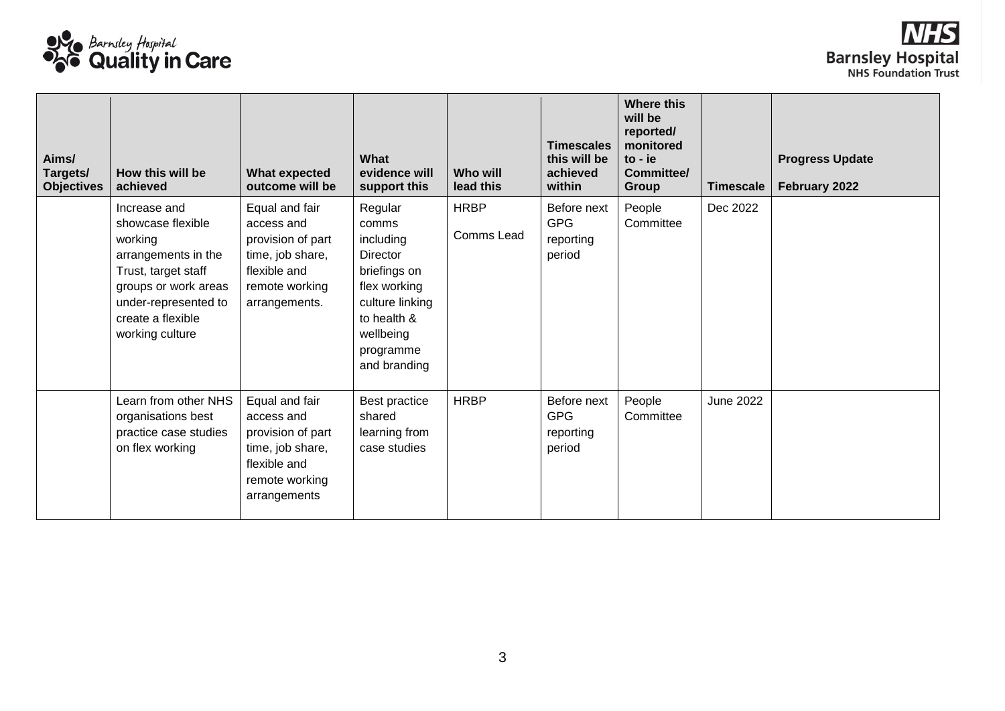

| Aims/<br>Targets/<br><b>Objectives</b> | How this will be<br>achieved                                                                                                                                                       | <b>What expected</b><br>outcome will be                                                                                  | What<br>evidence will<br>support this                                                                                                                 | Who will<br>lead this     | <b>Timescales</b><br>this will be<br>achieved<br>within | <b>Where this</b><br>will be<br>reported/<br>monitored<br>$to -ie$<br>Committee/<br>Group | <b>Timescale</b> | <b>Progress Update</b><br>February 2022 |
|----------------------------------------|------------------------------------------------------------------------------------------------------------------------------------------------------------------------------------|--------------------------------------------------------------------------------------------------------------------------|-------------------------------------------------------------------------------------------------------------------------------------------------------|---------------------------|---------------------------------------------------------|-------------------------------------------------------------------------------------------|------------------|-----------------------------------------|
|                                        | Increase and<br>showcase flexible<br>working<br>arrangements in the<br>Trust, target staff<br>groups or work areas<br>under-represented to<br>create a flexible<br>working culture | Equal and fair<br>access and<br>provision of part<br>time, job share,<br>flexible and<br>remote working<br>arrangements. | Regular<br>comms<br>including<br>Director<br>briefings on<br>flex working<br>culture linking<br>to health &<br>wellbeing<br>programme<br>and branding | <b>HRBP</b><br>Comms Lead | Before next<br><b>GPG</b><br>reporting<br>period        | People<br>Committee                                                                       | Dec 2022         |                                         |
|                                        | Learn from other NHS<br>organisations best<br>practice case studies<br>on flex working                                                                                             | Equal and fair<br>access and<br>provision of part<br>time, job share,<br>flexible and<br>remote working<br>arrangements  | Best practice<br>shared<br>learning from<br>case studies                                                                                              | <b>HRBP</b>               | Before next<br><b>GPG</b><br>reporting<br>period        | People<br>Committee                                                                       | <b>June 2022</b> |                                         |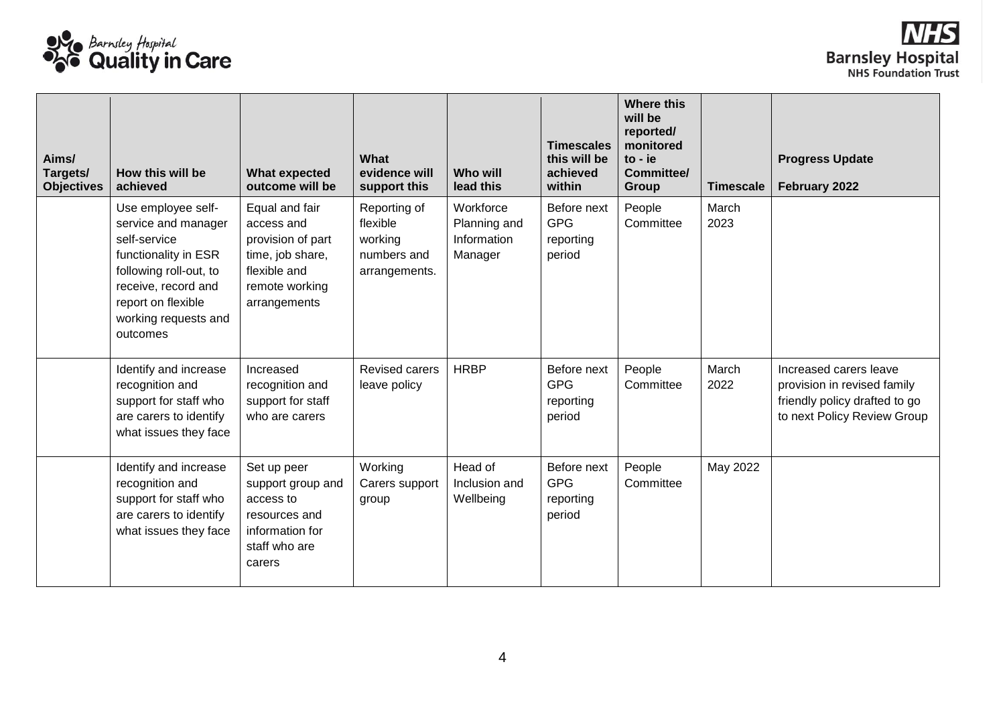

| Aims/<br>Targets/<br><b>Objectives</b> | How this will be<br>achieved                                                                                                                                                                 | <b>What expected</b><br>outcome will be                                                                                 | What<br>evidence will<br>support this                               | <b>Who will</b><br>lead this                        | <b>Timescales</b><br>this will be<br>achieved<br>within | <b>Where this</b><br>will be<br>reported/<br>monitored<br>$to -ie$<br>Committee/<br>Group | <b>Timescale</b> | <b>Progress Update</b><br>February 2022                                                                               |
|----------------------------------------|----------------------------------------------------------------------------------------------------------------------------------------------------------------------------------------------|-------------------------------------------------------------------------------------------------------------------------|---------------------------------------------------------------------|-----------------------------------------------------|---------------------------------------------------------|-------------------------------------------------------------------------------------------|------------------|-----------------------------------------------------------------------------------------------------------------------|
|                                        | Use employee self-<br>service and manager<br>self-service<br>functionality in ESR<br>following roll-out, to<br>receive, record and<br>report on flexible<br>working requests and<br>outcomes | Equal and fair<br>access and<br>provision of part<br>time, job share,<br>flexible and<br>remote working<br>arrangements | Reporting of<br>flexible<br>working<br>numbers and<br>arrangements. | Workforce<br>Planning and<br>Information<br>Manager | Before next<br><b>GPG</b><br>reporting<br>period        | People<br>Committee                                                                       | March<br>2023    |                                                                                                                       |
|                                        | Identify and increase<br>recognition and<br>support for staff who<br>are carers to identify<br>what issues they face                                                                         | Increased<br>recognition and<br>support for staff<br>who are carers                                                     | <b>Revised carers</b><br>leave policy                               | <b>HRBP</b>                                         | Before next<br><b>GPG</b><br>reporting<br>period        | People<br>Committee                                                                       | March<br>2022    | Increased carers leave<br>provision in revised family<br>friendly policy drafted to go<br>to next Policy Review Group |
|                                        | Identify and increase<br>recognition and<br>support for staff who<br>are carers to identify<br>what issues they face                                                                         | Set up peer<br>support group and<br>access to<br>resources and<br>information for<br>staff who are<br>carers            | Working<br>Carers support<br>group                                  | Head of<br>Inclusion and<br>Wellbeing               | Before next<br><b>GPG</b><br>reporting<br>period        | People<br>Committee                                                                       | May 2022         |                                                                                                                       |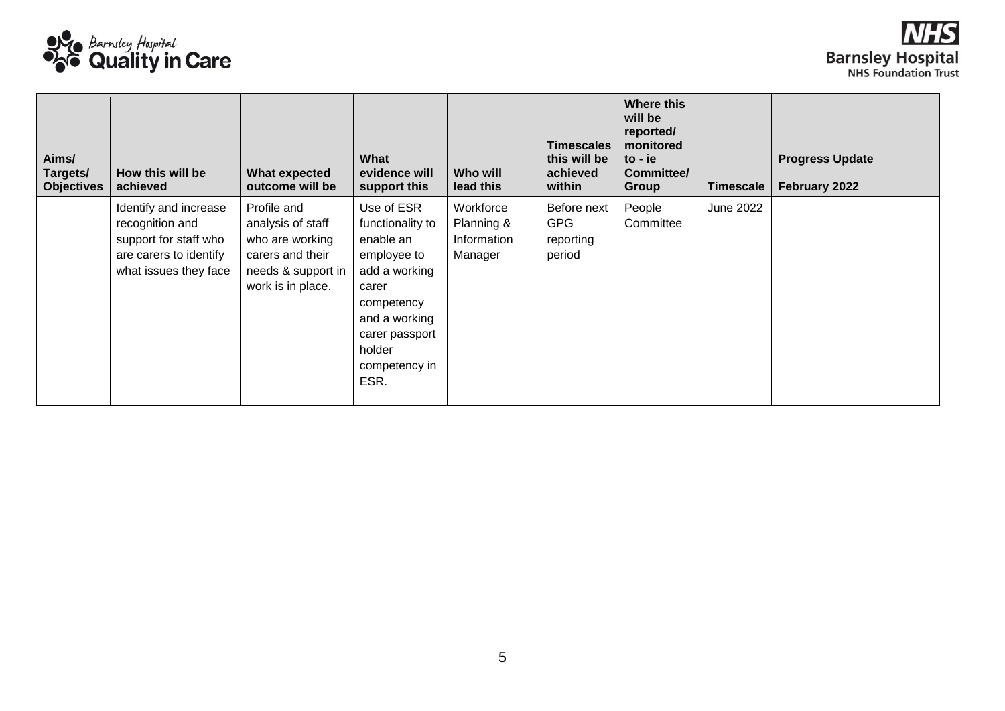

| Aims/<br>Targets/<br><b>Objectives</b> | How this will be<br>achieved                                                                                         | What expected<br>outcome will be                                                                                   | What<br>evidence will<br>support this                                                                                                                                    | Who will<br>lead this                             | <b>Timescales</b><br>this will be<br>achieved<br>within | <b>Where this</b><br>will be<br>reported/<br>monitored<br>$to -ie$<br><b>Committee/</b><br>Group | <b>Timescale</b> | <b>Progress Update</b><br>February 2022 |
|----------------------------------------|----------------------------------------------------------------------------------------------------------------------|--------------------------------------------------------------------------------------------------------------------|--------------------------------------------------------------------------------------------------------------------------------------------------------------------------|---------------------------------------------------|---------------------------------------------------------|--------------------------------------------------------------------------------------------------|------------------|-----------------------------------------|
|                                        | Identify and increase<br>recognition and<br>support for staff who<br>are carers to identify<br>what issues they face | Profile and<br>analysis of staff<br>who are working<br>carers and their<br>needs & support in<br>work is in place. | Use of ESR<br>functionality to<br>enable an<br>employee to<br>add a working<br>carer<br>competency<br>and a working<br>carer passport<br>holder<br>competency in<br>ESR. | Workforce<br>Planning &<br>Information<br>Manager | Before next<br><b>GPG</b><br>reporting<br>period        | People<br>Committee                                                                              | June 2022        |                                         |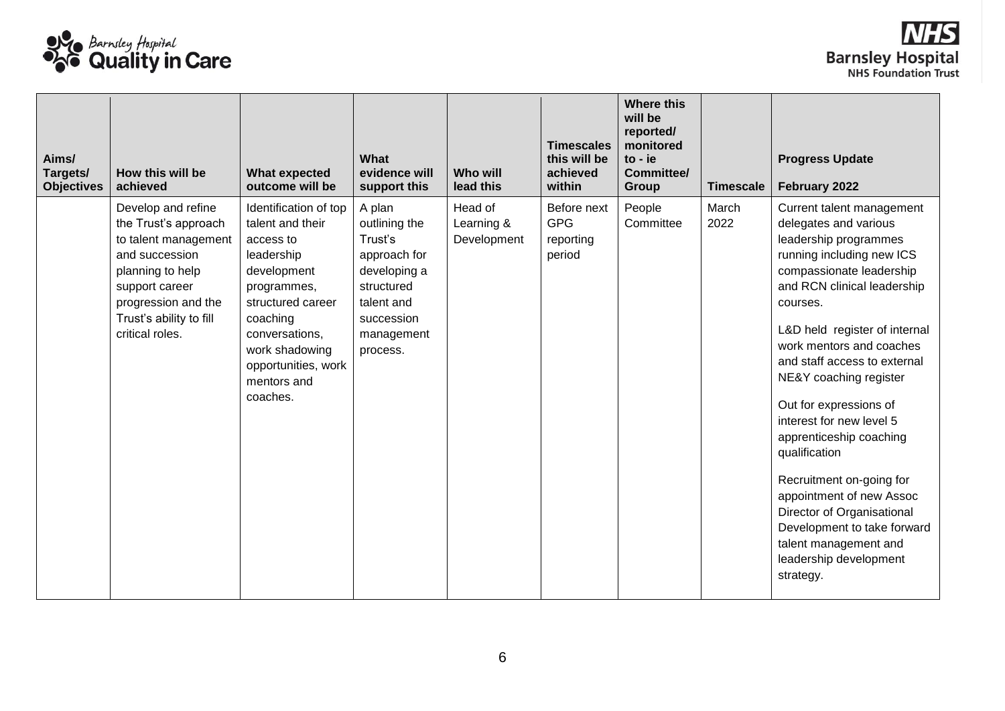

| Aims/<br>Targets/<br><b>Objectives</b> | How this will be<br>achieved                                                                                                                                                                    | <b>What expected</b><br>outcome will be                                                                                                                                                                                   | What<br>evidence will<br>support this                                                                                                  | <b>Who will</b><br>lead this         | <b>Timescales</b><br>this will be<br>achieved<br>within | <b>Where this</b><br>will be<br>reported/<br>monitored<br>$to -ie$<br>Committee/<br>Group | <b>Timescale</b> | <b>Progress Update</b><br>February 2022                                                                                                                                                                                                                                                                                                                                                                                                                                                                                                                                                       |
|----------------------------------------|-------------------------------------------------------------------------------------------------------------------------------------------------------------------------------------------------|---------------------------------------------------------------------------------------------------------------------------------------------------------------------------------------------------------------------------|----------------------------------------------------------------------------------------------------------------------------------------|--------------------------------------|---------------------------------------------------------|-------------------------------------------------------------------------------------------|------------------|-----------------------------------------------------------------------------------------------------------------------------------------------------------------------------------------------------------------------------------------------------------------------------------------------------------------------------------------------------------------------------------------------------------------------------------------------------------------------------------------------------------------------------------------------------------------------------------------------|
|                                        | Develop and refine<br>the Trust's approach<br>to talent management<br>and succession<br>planning to help<br>support career<br>progression and the<br>Trust's ability to fill<br>critical roles. | Identification of top<br>talent and their<br>access to<br>leadership<br>development<br>programmes,<br>structured career<br>coaching<br>conversations,<br>work shadowing<br>opportunities, work<br>mentors and<br>coaches. | A plan<br>outlining the<br>Trust's<br>approach for<br>developing a<br>structured<br>talent and<br>succession<br>management<br>process. | Head of<br>Learning &<br>Development | Before next<br><b>GPG</b><br>reporting<br>period        | People<br>Committee                                                                       | March<br>2022    | Current talent management<br>delegates and various<br>leadership programmes<br>running including new ICS<br>compassionate leadership<br>and RCN clinical leadership<br>courses.<br>L&D held register of internal<br>work mentors and coaches<br>and staff access to external<br>NE&Y coaching register<br>Out for expressions of<br>interest for new level 5<br>apprenticeship coaching<br>qualification<br>Recruitment on-going for<br>appointment of new Assoc<br>Director of Organisational<br>Development to take forward<br>talent management and<br>leadership development<br>strategy. |